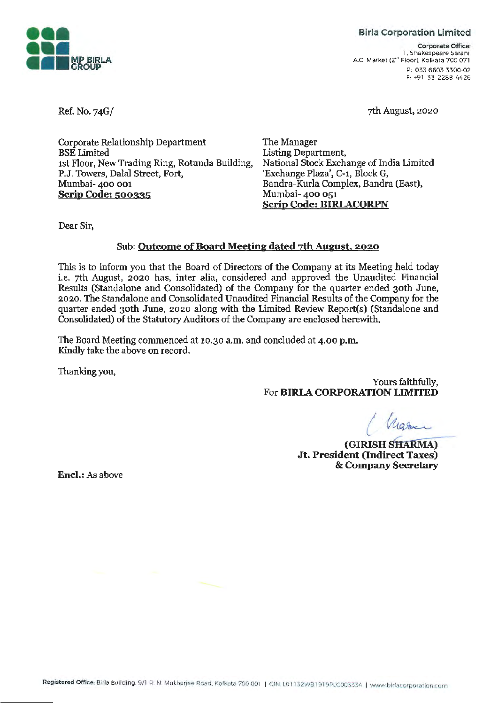

### **Birla Corporation Limited**

**Corporate Office:**  1. Shakespeare Sarani. AC. Market {2"" Floor). Kolkata 700 071 P, 033 6603 3300-02 F: +91 33 2288 4426

7th August, 2020

Ref. No. 74G/

Corporate Relationship Department BSE Limited 1st Floor, New Trading Ring, Rotunda Building, **P.J.** Towers, Dalal Street, Fort, Mumbai- 400 001 **Scrip Code: 500335** 

The Manager Listing Department, National Stock Exchange of India Limited 'Exchange Plaza', C-1, Block G, Bandra-Kurla Complex, Bandra (East), Mumbai- 400 051 **Scrip Code: BIRIACORPN** 

Dear Sir,

## Sub: **Outcome of Board Meeting dated 7th August, 2020**

This is to inform you that the Board of Directors of the Company at its Meeting held today i.e. 7th August, 2020 has, inter alia, considered and approved the Unaudited Financial Results (Standalone and Consolidated) of the Company for the quarter ended 30th June, 2020. The Standalone and Consolidated Unaudited Financial Results of the Company for the quarter ended 30th June, 2020 along with the Limited Review Report(s) (Standalone and Consolidated) of the Statutory Auditors of the Company are enclosed herewith.

The Board Meeting commenced at 10.30 a.m. and concluded at 4.00 p.m. Kindly take the above on record.

Thanking you,

Yours faithfully, For **BIRIA CORPORATION LIMITED** 

*( ~* 

*(GIRISH SHARMA)* **Jt. President {Indirect Taxes)**  & **Company Secretary** 

**Encl.:** As above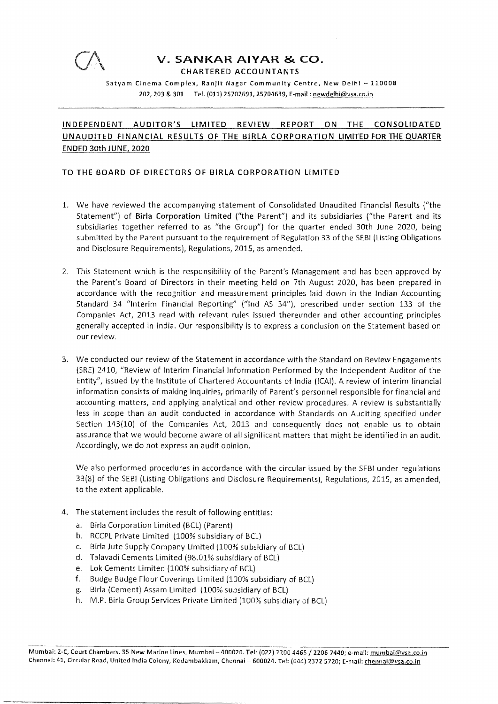

CHARTERED ACCOUNTANTS

Satyam Cinema Complex, Ranjit Nagar Community Centre, New Delhi - 110008 202, 203 & 301 Tel. (011) 2S702691, 25704639, E-mail: newdelhi@vsa.co.in

## **INDEPENDENT AUDITOR'S LIMITED REVIEW REPORT ON THE CONSOLIDATED UNAUDITED FINANCIAL RESULTS OF THE BIRLA CORPORATION LIMITED FOR THE QUARTER ENDED 30th JUNE, 2020**

### **TO THE BOARD OF DIRECTORS OF BIRLA CORPORATION LIMITED**

- 1. We have reviewed the accompanying statement of Consolidated Unaudited Financial Results ("the Statement") of **Birla Corporation Limited** ("the Parent") and its subsidiaries ("the Parent and its subsidiaries together referred to as "the Group") for the quarter ended 30th June 2020, being submitted by the Parent pursuant to the requirement of Regulation 33 of the SEBI (Listing Obligations and Disclosure Requirements), Regulations, 2015, as amended.
- 2. This Statement which is the responsibility of the Parent's Management and has been approved by the Parent's Board of Directors in their meeting held on 7th August 2020, has been prepared in accordance with the recognition and measurement principles laid down in the Indian Accounting Standard 34 "Interim Financial Reporting" ("Ind AS 34"), prescribed under section 133 of the Companies Act, 2013 read with relevant rules issued thereunder and other accounting principles generally accepted in India. Our responsibility is to express a conclusion on the Statement based on our review.
- 3. We conducted our review of the Statement in accordance with the Standard on Review Engagements (SRE) 2410, "Review of Interim Financial Information Performed by the Independent Auditor of the Entity", issued by the Institute of Chartered Accountants of India (ICAI). A review of interim financial information consists of making inquiries, primarily of Parent's personnel responsible for financial and accounting matters, and applying analytical and other review procedures. A review is substantially less in scope than an audit conducted in accordance with Standards on Auditing specified under Section 143(10) of the Companies Act, 2013 and consequently does not enable us to obtain assurance that we would become aware of all significant matters that might be identified in an audit. Accordingly, we do not express an audit opinion.

We also performed procedures in accordance with the circular issued by the SEBI under regulations 33(8) of the SEBI (Listing Obligations and Disclosure Requirements), Regulations, 2015, as amended, to the extent applicable.

- 4. The statement includes the result of following entities:
	- a. Birla Corporation Limited (BCL) (Parent)
	- b. RCCPL Private Limited (100% subsidiary of BCL)
	- c. Birla Jute Supply Company Limited (100% subsidiary of BCL)
	- d. Talavadi Cements Limited (98.01% subsidiary of BCL)
	- e. Lok Cements Limited (100% subsidiary of BCL)
	- f. Budge Budge Floor Coverings Limited (100% subsidiary of BCL)
	- g. Birla (Cement) Assam Limited {100% subsidiary of BCL)
	- h. M.P. Birla Group Services Private Limited {100% subsidiary of BCL)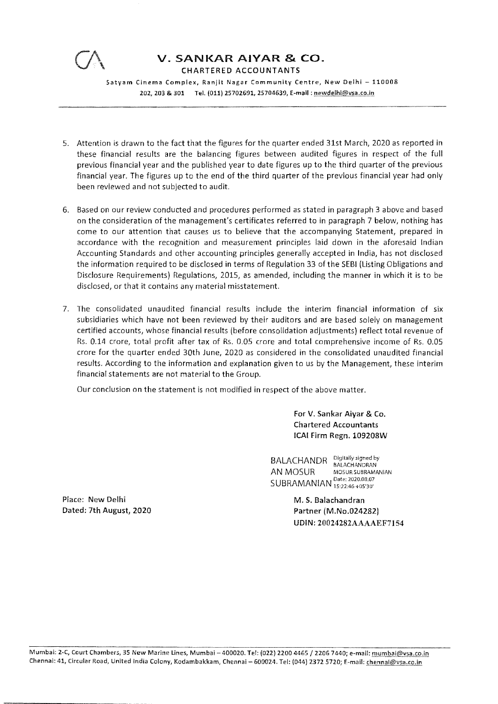

CHARTERED ACCOUNTANTS

Satyam Cinema Complex, Ranjit Nagar Community Centre, New Delhi - 110008 202, 203 & 301 Tel. (011) 25702691, 25704639, E-mail : newdelhi@vsa.co.in

- 5. Attention is drawn to the fact that the figures for the quarter ended 31st March, 2020 as reported in these financial results are the balancing figures between audited figures in respect of the full previous financial year and the published year to date figures up to the third quarter of the previous financial year. The figures up to the end of the third quarter of the previous financial year had only been reviewed and not subjected to audit.
- 6. Based on our review conducted and procedures performed as stated in paragraph 3 above and based on the consideration of the management's certificates referred to in paragraph 7 below, nothing has come to our attention that causes us to believe that the accompanying Statement, prepared in accordance with the recognition and measurement principles laid down in the aforesaid Indian Accounting Standards and other accounting principles generally accepted in India, has not disclosed the information required to be disclosed in terms of Regulation 33 of the SEBI (Listing Obligations and Disclosure Requirements) Regulations, 2015, as amended, including the manner in which it is to be disclosed, or that it contains any material misstatement.
- 7. The consolidated unaudited financial results include the interim financial information of six subsidiaries which have not been reviewed by their auditors and are based solely on management certified accounts, whose financial results (before consolidation adjustments) reflect total revenue of Rs. 0.14 crore, total profit after tax of Rs. 0.05 crore and total comprehensive income of Rs. 0.05 crore for the quarter ended 30th June, 2020 as considered in the consolidated unaudited financial results. According to the information and explanation given to us by the Management, these interim financial statements are not material to the Group.

Our conclusion on the statement is not modified in respect of the above matter.

For V. Sankar Aiyar & Co. Chartered Accountants ICAI Firm Regn. 109208W

BALACHANDR Digitally signed by BALACHANDRAN AN MOSUR MOSUR SUBRAMANIAN SUBRAMANIAN Date: 2020.08.07

> M. S. Balachandran Partner (M.No.024282) UDIN: 20024282AAAAEF7154

Place: New Delhi Dated: 7th August, 2020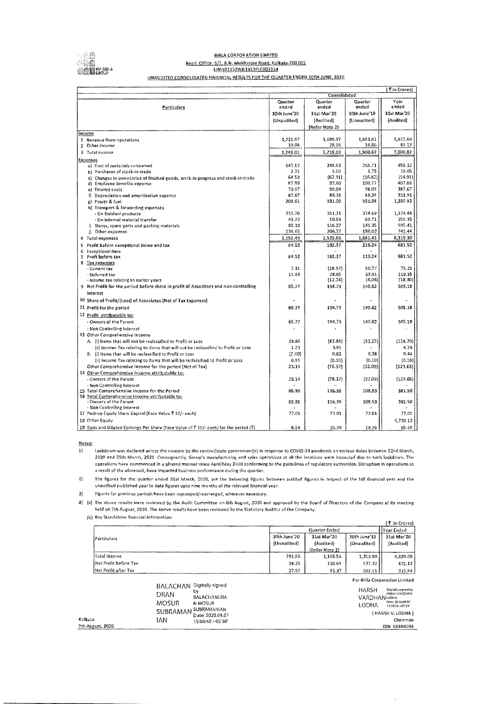

#### **BIRLA CORPORATION LIMITED** Regd. Office: 9/1, R.N. Mukherjee Road, Ko!kata-700 001 C!N-l01132WB1919PlC003334 UNAUDITED CONSOLIDATED FINANCIAL RESULTS FOR THE QUARTER ENDED 30TH JUNE, 2020

|                                                                                        |                |                |                 | (₹in Crores)      |
|----------------------------------------------------------------------------------------|----------------|----------------|-----------------|-------------------|
|                                                                                        |                | Consolidated   |                 |                   |
|                                                                                        | Quarter        | Quarter        | Quarter         | Year              |
| Particulars                                                                            | ended          | ended          | ended           | ended             |
|                                                                                        | 30th June'20   | 31st Mar'20    | 30th June 19    | 31st Mar'20       |
|                                                                                        | (Unaudited)    | {Audited}      | (Unaudited)     | (Audited)         |
|                                                                                        |                | (Refer Note 2) |                 |                   |
| income                                                                                 |                |                |                 |                   |
| 1 Revenue from operations                                                              | 1,221.97       | 1,689.97       | 1,883.81        | 6,915.69          |
| 2 Other income                                                                         | 19.04          | 28.06          | 16.86           | 85.13             |
| 3 Total income                                                                         | 1,241.01       | 1,718.03       | 1,900.67        | 7.000.82          |
| Expenses                                                                               |                |                |                 |                   |
| a) Cost of materials consumed                                                          | 145.12         | 248.62         | 265.71          | 958.12            |
| b) Purchases of stock-in-trade                                                         | 2.21           | 5.50           | 1.75            | 16.05             |
| c) Changes in inventories of finished goods, work-in-progress and stock-in-trade       | 64.52          | (62.31)        | (16, 82)        | (54.91)<br>407.88 |
| d) Employee benefits expense                                                           | 87.99<br>79.97 | 97.60<br>90,94 | 100.77<br>96.03 | 387.67            |
| e) Finance costs<br>f) Depreciation and amortisation expense                           | 87,67          | 89.38          | 86.24           | 351.91            |
| g) Power & fuel                                                                        | 208.61         | 331.09         | 381.98          | 1,380.92          |
| h) Transport & forwarding expenses                                                     |                |                |                 |                   |
| - On finished products                                                                 | 215.70         | 351.31         | 374.69          | 1,374.46          |
| - On internal material transfer                                                        | 41.72          | 50.89          | 69.71           | 250.35            |
| i) Stores, spare parts and packing materials                                           | 88.33          | 116.27         | 141.35          | 505,41            |
| j) Other expenses                                                                      | 134.65         | 206,37         | 180.02          | 741.44            |
| 4 Tutal expenses                                                                       | 1,156.49       | 1,525.66       | 1,681.43        | 6,319.30          |
| 5 Profit before exceptional items and tax                                              | 84.52          | 192.37         | 219.24          | 681.52            |
| 6 Exceptional item                                                                     |                |                |                 |                   |
| 7 Proft before tax                                                                     | 84.52          | 192.37         | 219.24          | 681.52            |
| 8 Tax expenses                                                                         |                |                |                 |                   |
| - Current tax                                                                          | 7.31           | (18.97)        | 50.77           | 75.29             |
| - Deferred tax                                                                         | 11.44          | 28.85          | 33.91           | 119.35            |
| - Income tax relating to earlier years                                                 |                | (12.24)        | (6.06)          | (18.30)           |
| 9 Net Profit for the period before share in profit of Associates and non-controlling   | 65.77          | 194.73         | 140.62          | 505.18            |
| interest                                                                               |                |                |                 |                   |
| 10 Share of Profit/(Loss) of Associates (Net of Tax Expenses)                          |                |                |                 |                   |
| 11 Profit for the period                                                               | 65.77          | 194.73         | 140.62          | 505.18            |
| 12 Profit attributable to:                                                             |                |                |                 |                   |
| - Owners of the Parent                                                                 | 65.77          | 194.73         | 140.62          | 505.18            |
| - Non Controlling Interest                                                             |                |                |                 |                   |
| 13 Other Comprehensive Income                                                          |                |                |                 |                   |
| A. (i) Items that will not be reclassified to Profit or Loss                           | 23.60          | (82.84)        | [32.27]         | (128.70)          |
| (ii) Income Tax relating to items that will not be reclassified to Profit or Loss      | 1.23           | 3.95           |                 | 4.74              |
| B. (i) Items that will be reclassified to Profit or Loss                               | (2.60)         | 0.62           | 0.28            | 0.44              |
| (ii) Income Tax relating to items that will be reclassified to Profit or Loss          | 0,91           | (0.10)         | (0,10)          | (0.16)            |
| Other Comprehensive Income for the period (Net of Tax)                                 | 23.14          | (78.37)        | (32.09)         | (123.68)          |
| 14 Other Comprehensive Income attributable to:                                         |                |                |                 |                   |
| - Owners of the Parent                                                                 | 23.14          | (78.37)        | (32.09)         | (123.68)          |
| - Non Contralling Interest                                                             |                |                |                 |                   |
| 15 Total Comprehensive Income for the Period                                           | 88.91          | 115.36         | 108.53          | 381.50            |
| 16 Total Comprehensive Income attributable to:                                         |                |                |                 |                   |
| - Owners of the Parent<br>- Non Controlling Interest                                   | 88.91          | 116.36         | 108.53          | 381.50            |
| 17 Paid-up Equity Share Capital (Face Value ₹ 10/- each)                               | 77.01          | 77.01          | 77.01           | 77.01             |
| 18 Other Equity                                                                        |                |                |                 | 4,729.12          |
|                                                                                        |                |                |                 |                   |
| 19 Basic and Diluted Earnings Per Share (Face Value of ₹ 10/- each) for the period (₹) | 8,54           | 25.29          | 18.26           | 65.60             |

Notes:

1) Lockdown was declared across the country by the central/state government(s} in response to COV!D-19 pandemic on various dates between 22nd March, 2020 and 25th March, 2020. Consequently, Group's manufacturing and sales operations at all the locations were impacted due to such lockdown. The operations have commenced in a phased manner since April/May 2020 conforming to the guidelines of regulatory authorities. Disruption in operations as a result of the aforesaid, have Impacted business performance during the quarter.

2) The figures for the quarter ended 31st Marth, 2020, are the balandng figures between audited figures In respect of the full financial year and the unaudited published year to date figures upto nine months of the relevant financial year,

3} Figures for previous periods have been regrouped/rearranged, wherever necessary,

4) {a) The above results were reviewed by the Audit Committee on 6th August, 2020 and approved by the Board of Directors of the Company at its meeting held on 7th August, 2020. The above results have been reviewed by the Statutory Auditor of the Company.

fbl Key Standalone financial information:

|                        |               |                |              | {₹ in Crores} |
|------------------------|---------------|----------------|--------------|---------------|
| Particulars            | Quarter Ended |                |              | Year Ended    |
|                        | 30th June'20  | 31st Mar'20    | 30th June 19 | 31st Mar'20   |
|                        | (Unaudited)   | (Audited)      | (Unaudited)  | (Audited)     |
|                        |               | (Refer Note 2) |              |               |
| Total Income           | 791.86        | 1.168.56       | 1,313.09     | 4,829.08      |
| INet Profit before Tax | 38.25         | 110.64         | 137.32       | 421.12        |
| Net Profit after Tax   | 27.97         | 91.37          | 102.16       | 315.84        |

For 8irla Corporation Limited

J.

|                  | BALACHAN Digitally signed<br>b٧<br>DRAN<br>BALACHANDRA<br>MOSUR<br>N MOSUR | <b>HARSH</b><br>Digitally signed by<br>HARSH VARDHAN<br><b>VARDHAN</b> LODHA<br>Date: 2020.08.07<br>LODHA<br>13:50:56 +05:30 |
|------------------|----------------------------------------------------------------------------|------------------------------------------------------------------------------------------------------------------------------|
|                  | SUBRAMAN SUBRAMANIAN<br>Date: 2020.06.07                                   | ( HARSH V. LODHA )                                                                                                           |
| Kolkata          | IAN<br>15:06:40 +05'30'                                                    | Chairman                                                                                                                     |
| 7th August, 2020 |                                                                            | DIN 00394094                                                                                                                 |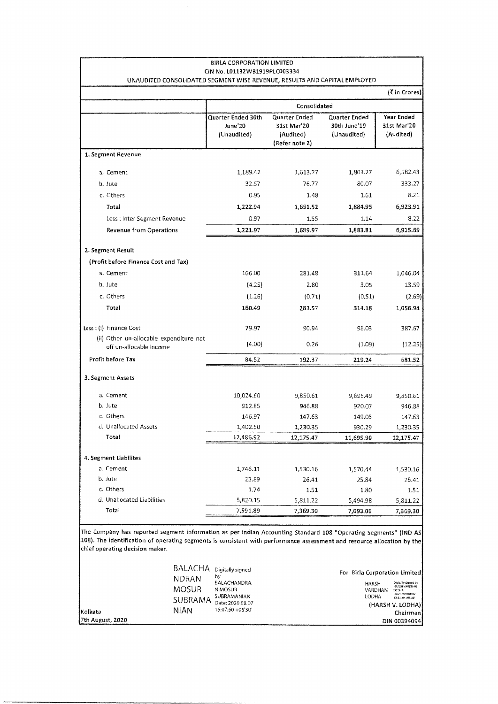| <b>BIRLA CORPORATION LIMITED</b><br>CIN No. L01132WB1919PLC003334         |                                              |                                                             |                                              |                                        |
|---------------------------------------------------------------------------|----------------------------------------------|-------------------------------------------------------------|----------------------------------------------|----------------------------------------|
| UNAUDITED CONSOLIDATED SEGMENT WISE REVENUE, RESULTS AND CAPITAL EMPLOYED |                                              |                                                             |                                              |                                        |
|                                                                           |                                              |                                                             |                                              | (₹ in Crores)                          |
|                                                                           |                                              | Consolidated                                                |                                              |                                        |
|                                                                           | Quarter Ended 30th<br>June'20<br>(Unaudited) | Quarter Ended<br>31st Mar'20<br>(Audited)<br>(Refer note 2) | Quarter Ended<br>30th June'19<br>(Unaudited) | Year Ended<br>31st Mar'20<br>(Audited) |
| 1. Segment Revenue                                                        |                                              |                                                             |                                              |                                        |
| a. Cement                                                                 | 1,189.42                                     | 1,613.27                                                    | 1,803.27                                     | 6,582.43                               |
| b. Jute                                                                   | 32.57                                        | 76.77                                                       | 80.07                                        | 333.27                                 |
| c. Others                                                                 | 0.95                                         | 1.48                                                        | 1.61                                         | 8.21                                   |
| Total                                                                     | 1,222.94                                     | 1,691.52                                                    | 1,884.95                                     | 6,923.91                               |
| Less : Inter Segment Revenue                                              | 0.97                                         | 1.55                                                        | 1.14                                         | 8.22                                   |
| Revenue from Operations                                                   | 1,221.97                                     | 1,689.97                                                    | 1,883.81                                     | 6,915.69                               |
| 2. Segment Result                                                         |                                              |                                                             |                                              |                                        |
| (Profit before Finance Cost and Tax)                                      |                                              |                                                             |                                              |                                        |
| a. Cement                                                                 | 166.00                                       | 281,48                                                      | 311,64                                       | 1,046.04                               |
| b. Jute                                                                   | (4.25)                                       | 2.80                                                        | 3.05                                         | 13.59                                  |
| c. Others                                                                 | (1.26)                                       | (0.71)                                                      | (0.51)                                       | (2.69)                                 |
| Total                                                                     | 160.49                                       | 283.57                                                      | 314.18                                       | 1,056.94                               |
|                                                                           |                                              |                                                             |                                              |                                        |
| Less : (i) Finance Cost                                                   | 79.97                                        | 90.94                                                       | 96.03                                        | 387.67                                 |
| (ii) Other un-allocable expenditure net<br>off un-allocable income        | (4.00)                                       | 0.26                                                        | (1.09)                                       | (12.25)                                |
| Profit before Tax                                                         | 84.52                                        | 192.37                                                      | 219.24                                       | 681.52                                 |
| 3. Segment Assets                                                         |                                              |                                                             |                                              |                                        |
| a. Cement                                                                 | 10,024.60                                    | 9,850.61                                                    | 9,696.49                                     | 9,850.61                               |
| b. Jute                                                                   | 912.85                                       | 946.88                                                      | 920.07                                       | 946.88                                 |
| c. Others                                                                 | 146.97                                       | 147,63                                                      | 149.05                                       | 147.63                                 |
| d. Unallocated Assets                                                     | 1,402.50                                     | 1,230.35                                                    | 930.29                                       | 1,230.35                               |
| Total                                                                     | 12,486.92                                    | 12,175.47                                                   | 11,695.90                                    | 12,175.47                              |
| 4. Segment Liabilites                                                     |                                              |                                                             |                                              |                                        |
| a. Cement                                                                 | 1,746.11                                     | 1,530.16                                                    | 1,570.44                                     | 1,530.16                               |
| b. Jute                                                                   | 23.89                                        | 26.41                                                       | 25.84                                        | 26.41                                  |
| c. Others                                                                 | 1,74                                         | 1.51                                                        | 1.80                                         | 1.51                                   |
| d. Unallocated Liabilities                                                | 5,820.15                                     | 5,811.22                                                    | 5,494.98                                     | 5,811.22                               |
| Total                                                                     | 7,591.89                                     | 7,369.30                                                    | 7,093.06                                     | 7,369.30                               |
|                                                                           |                                              |                                                             |                                              |                                        |

The Company has reported segment information as per Indian Accounting Standard 108 "Operating Segments" (IND AS 108). The identification of operating segments is consistent with performance assessment and resource allocation by the chief operating decision maker.

|                  | BALACHA Digitally signed<br>by<br>NDRAN<br><b>BALACHANDRA</b><br><b>MOSUR</b><br>N MOSUR<br>SUBRAMANIAN<br>SUBRAMA | For Birla Corporation Limited<br>Digitally signed by<br>HARSH<br>HARSH VARDHAN<br>VARDHAN<br>LODHA<br>Date: 2020.08.07<br>LODHA<br>13:51:29 + 05'30" |                          |  |
|------------------|--------------------------------------------------------------------------------------------------------------------|------------------------------------------------------------------------------------------------------------------------------------------------------|--------------------------|--|
| .<br>Kolkata     | NIAN                                                                                                               | Date: 2020.08.07<br>15:07:50 +05'30'                                                                                                                 | (HARSH V. LODHA)         |  |
| 7th August, 2020 |                                                                                                                    |                                                                                                                                                      | Chairman<br>DIN 00394094 |  |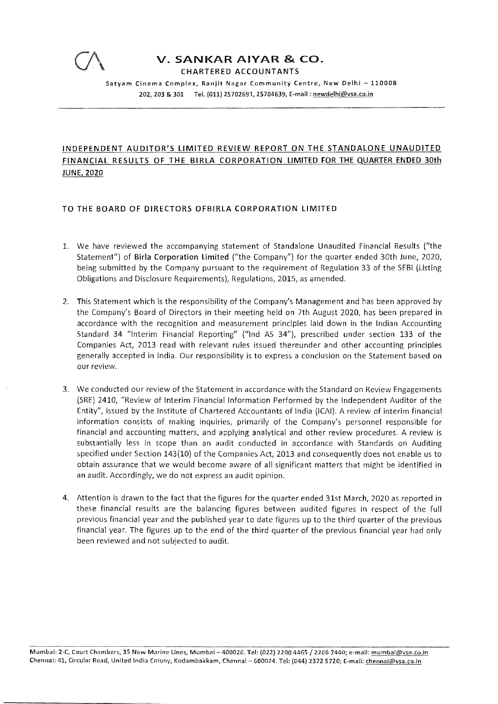

CHARTERED ACCOUNTANTS

Satyam Cinema Complex, Ranjit Nagar Community Centre, New Delhi - 110008 202, 203 & 301 Tel. (011) 25702691, 25704639, E-mail: newdelhi@vsa.co.in

## INDEPENDENT AUDITOR'S LIMITED REVIEW REPORT ON THE STANDALONE UNAUDITED FINANCIAL RESULTS OF THE BIRLA CORPORATION LIMITED FOR THE QUARTER ENDED 30th JUNE, 2020

### TO THE BOARD OF DIRECTORS OFBIRLA CORPORATION LIMITED

- 1. We have reviewed the accompanying statement of Standalone Unaudited Financial Results ("the Statement") of **Birla Corporation Limited** ("the Company") for the quarter ended 30th June, 2020, being submitted by the Company pursuant to the requirement of Regulation 33 of the SEBI (Listing Obligations and Disclosure Requirements), Regulations, 2015, as amended.
- 2. This Statement which is the responsibility of the Company's Management and has been approved by the Company's Board of Directors in their meeting held on 7th August 2020, has been prepared in accordance with the recognition and measurement principles laid down in the Indian Accounting Standard 34 "Interim Financial Reporting" ("Ind AS 34"), prescribed under section 133 of the Companies Act, 2013 read with relevant rules issued thereunder and other accounting principles generally accepted in India. Our responsibility is to express a conclusion on the Statement based on our review.
- 3. We conducted our review of the Statement in accordance with the Standard on Review Engagements (SRE) 2410, "Review of Interim Financial Information Performed by the Independent Auditor of the Entity", issued by the Institute of Chartered Accountants of India (ICAI). A review of interim financial information consists of making inquiries, primarily of the Company's personnel responsible for financial and accounting matters, and applying analytical and other review procedures. A review is substantially less in scope than an audit conducted in accordance with Standards on Auditing specified under Section 143(10) of the Companies Act, 2013 and consequently does not enable us to obtain assurance that we would become aware of all significant matters that might be identified in an audit. Accordingly, we do not express an audit opinion.
- 4. Attention is drawn to the fact that the figures for the quarter ended 31st March, 2020 as reported in these financial results are the balancing figures between audited figures in respect of the full previous financial year and the published year to date figures up to the third quarter of the previous financial year. The figures up to the end of the third quarter of the previous financial year had only been reviewed and not subjected to audit.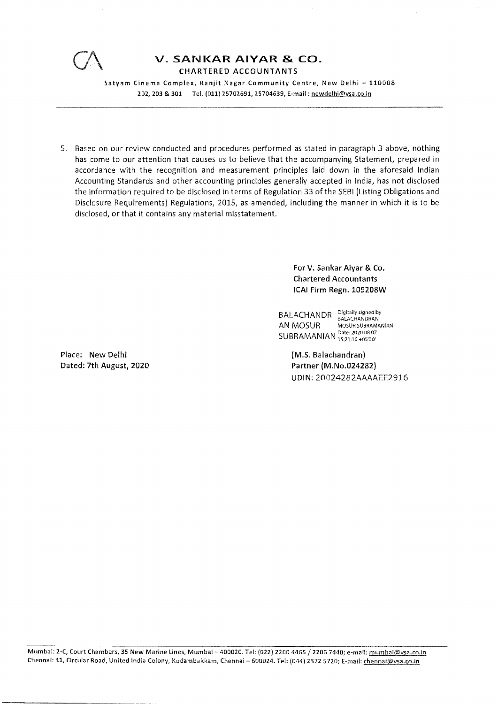

**CHARTERED ACCOUNTANTS** 

Satyam Cinema Complex, Ranjit Nagar Community Centre, New Delhi - 110008 202, 203 & 301 Tel. (011) 25702691, 25704639, E-mail: newdelhi@vsa.co.in

5. Based on our review conducted and procedures performed as stated in paragraph 3 above, nothing has come to our attention that causes us to believe that the accompanying Statement, prepared in accordance with the recognition and measurement principles laid down in the aforesaid Indian Accounting Standards and other accounting principles generally accepted in India, has not disclosed the information required to be disclosed in terms of Regulation 33 of the SEBI (Listing Obligations and Disclosure Requirements) Regulations, 2015, as amended, including the manner in which it is to be disclosed, or that it contains any material misstatement.

> For V. Sankar **Aiyar** & **Co.**  Chartered **Accountants ICAI Firm** Regn. **109208W**

BALACHANDR Digitally signed by BALACTIANUR BALACHANDRAN<br>AN MOSUR MOSUR SUBRAMANIAN SUBRAMANIAN Date: 2020.08.07 15:21:16+05'30'

Place: New Delhi Dated: 7th August, 2020 **(M.S.** Balachandran} Partner **(M.No.024282}**  UDIN:20024282AAAAEE2916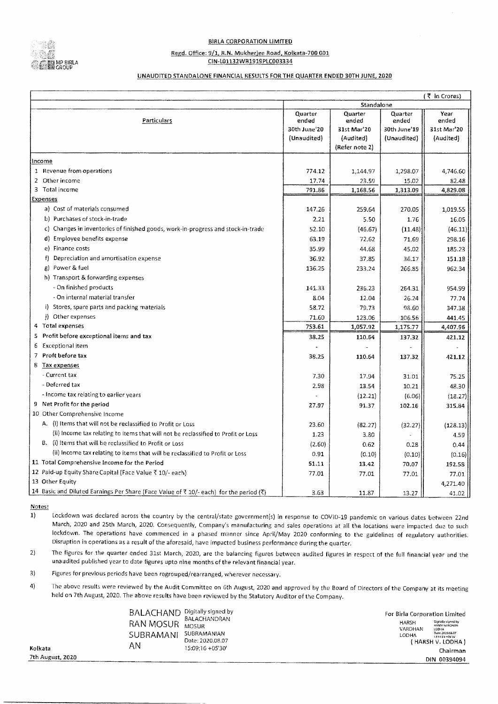

#### **BIRLA CORPORATION LIMITED**

#### Regd. Office: 9/1, R.N. Mukherjee Road, Kolkata-700 001

CIN-L01132WB1919PLC003334

#### UNAUDITED STANDALONE FINANCIAL RESULTS FOR THE QUARTER ENDED 30TH JUNE, 2020

|                                                                                       |                  |                  |                  | (そ in Crores) |
|---------------------------------------------------------------------------------------|------------------|------------------|------------------|---------------|
|                                                                                       |                  | Standalone       |                  |               |
| <b>Particulars</b>                                                                    | Quarter<br>ended | Quarter<br>ended | Quarter<br>ended | Year<br>ended |
|                                                                                       | 30th June'20     | 31st Mar'20      | 30th June'19     | 31st Mar'20   |
|                                                                                       | (Unaudited)      | (Audited)        | (Unaudited)      | (Audited)     |
|                                                                                       |                  | (Refer note 2)   |                  |               |
| Income                                                                                |                  |                  |                  |               |
| 1 Revenue from operations                                                             | 774.12           | 1,144.97         | 1,298.07         | 4,746.60      |
| $\overline{2}$<br>Other income                                                        | 17.74            | 23.59            | 15,02            | 82.48         |
| 3 Total income                                                                        | 791.86           | 1,168.56         | 1,313.09         | 4,829.08      |
| <b>Expenses</b>                                                                       |                  |                  |                  |               |
| a) Cost of materials consumed                                                         | 147.26           | 259.64           | 270.05           | 1,019.55      |
| b) Purchases of stock-in-trade                                                        | 2.21             | 5.50             | 1.76             | 16.05         |
| c) Changes in inventories of finished goods, work-in-progress and stock-in-trade      | 52.10            | (46.67)          | (11.48)          | (46.11)       |
| d) Employee benefits expense                                                          | 63.19            | 72.62            | 71.69            | 298.16        |
| e) Finance costs                                                                      | 35.99            | 44.68            | 45,02            | 185.23        |
| Depreciation and amortisation expense<br>f)                                           | 36.92            | 37.85            | 36.17            | 151.18        |
| Power & fuel<br>g)                                                                    | 136.25           | 233.24           | 266.85           | 962.34        |
| h) Transport & forwarding expenses                                                    |                  |                  |                  |               |
| - On finished products                                                                | 141.33           | 236.23           | 264.31           | 954.99        |
| - On internal material transfer                                                       | 8.04             | 12.04            | 26.24            | 77.74         |
| i) Stores, spare parts and packing materials                                          | 58.72            | 79.73            | 98.60            | 347.38        |
| i) Other expenses                                                                     | 71.60            | 123.06           | 106.56           | 441.45        |
| 4 Total expenses                                                                      | 753.61           | 1,057.92         | 1,175.77         | 4,407.96      |
| Profit before exceptional items and tax<br>5                                          | 38.25            | 110.64           | 137.32           | 421.12        |
| Exceptional item<br>6                                                                 |                  |                  |                  |               |
| 7 Proft before tax                                                                    | 38.25            | 110.64           | 137.32           | 421.12        |
| 8 Tax expenses                                                                        |                  |                  |                  |               |
| - Current tax                                                                         | 7.30             | 17.94            | 31.01            | 75.25         |
| - Deferred tax                                                                        | 2.98             | 13.54            | 10.21            | 48.30         |
| - Income tax relating to earlier years                                                |                  | (12.21)          | (6.06)           | (18.27)       |
| 9 Net Profit for the period                                                           | 27.97            | 91.37            | 102.16           | 315.84        |
| 10 Other Comprehensive Income                                                         |                  |                  |                  |               |
| A. (i) Items that will not be reclassified to Profit or Loss                          | 23.60            | (82.27)          | (32.27)          | (128.13)      |
| (ii) Income tax relating to items that will not be reclassified to Profit or Loss     | 1.23             | 3.80             |                  | 4.59          |
| B. (i) Items that will be reclassified to Profit or Loss                              | (2.60)           | 0.62             | 0.28             | 0.44          |
| (ii) Income tax relating to items that will be reclassified to Profit or Loss         | 0.91             | (0.10)           | (0.10)           | (0.16)        |
| 11 Total Comprehensive Income for the Period                                          | 51.11            | 13.42            | 70.07            | 192.58        |
| 12 Paid-up Equity Share Capital (Face Value ₹ 10/- each)                              | 77.01            | 77.01            | 77.01            | 77.01         |
| 13 Other Equity                                                                       |                  |                  |                  | 4,271.40      |
| 14 Basic and Diluted Earnings Per Share (Face Value of ₹ 10/-each) for the period (₹) | 3.63             | 11.87            | 13.27            | 41.02         |

Notes:

1) lockdown was declared across the country by the central/state government(s) in response to COVID-19 pandemic on various dates between 22nd March, 2020 and 25th March, 2020. Consequently, Company's manufacturing and sales operations at all the locations were impacted due to such lockdown. The operations have commenced in a phased manner since April/May 2020 conforming to the guidelines of regulatory authorities. Disruption in operations as a result of the aforesaid, have impacted business performance during the quarter.

2) The figures for the quarter ended 31st March, 2020, are the balancing figures between audited figures in respect of the full financial year and the unaudited published year to date figures upto nine months of the relevant financial year.

3) Figures for previous periods have been regrouped/rearranged, wherever necessary.

4) The above results were reviewed by the Audit Committee on 6th August, 2020 and approved by the Board of Directors of the Company at its meeting held on 7th August, 2020. The above results have been reviewed by the Statutory Auditor of the Company.

| BALACHAND<br>RAN MOSUR<br>SUBRAMANI<br>AΝ | Digitally signed by<br>BALACHANDRAN<br><b>MOSUR</b><br>SUBRAMANIAN<br>Date: 2020.08.07<br>15:09:16 +05'30' |
|-------------------------------------------|------------------------------------------------------------------------------------------------------------|
|                                           |                                                                                                            |
|                                           |                                                                                                            |

For Birla Corporation Limited **HARSH** ~~::~;,~~"i:r VARDHAN LODHA ( HARSH V. LODHA) Chairman DIN 00394094